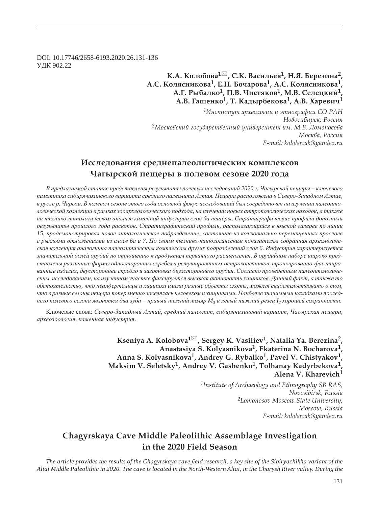DOI: 10.17746/2658-6193.2020.26.131-136 ɍȾɄ 902.22

### **Ǹ.Ǯ. ǸȜșȜȏȜȐȎ<sup>1</sup> , ǿ.Ǹ. ǰȎȟȖșȪȓȐ1, ǻ.ȍ. ǯȓȞȓȕȖțȎ2, Ǯ.ǿ. ǸȜșȭȟțȖȘȜȐȎ1, dz.ǻ. ǯȜȥȎȞȜȐȎ1, Ǯ.ǿ. ǸȜșȭȟțȖȘȜȐȎ1,**   $A$ **.**  $\Gamma$ ,  $P$ ыбалко<sup>1</sup>,  $\Pi$ ,  $B$ ,  $\Pi$ истяков<sup>1</sup>,  $M$ ,  $B$ ,  $C$ елецкий<sup>1</sup> **Ǯ.ǰ. DZȎȦȓțȘȜ1, Ȁ. ǸȎȒȩȞȏȓȘȜȐȎ1, Ǯ.ǰ. ȃȎȞȓȐȖȥ<sup>1</sup>**

*<sup>1</sup>ǶțȟȠȖȠȡȠ ȎȞȣȓȜșȜȑȖȖ Ȗ ȫȠțȜȑȞȎȢȖȖ ǿǼ ǾǮǻ*  $H$ овосибирск, Россия <sup>2</sup>Московский государственный университет им. М.В. Ломоносова Москва, Россия *E-mail: kolobovak@yandex.ru*

## Исследования среднепалеолитических комплексов **ȅȎȑȩȞȟȘȜȗ ȝȓȧȓȞȩ Ȑ ȝȜșȓȐȜȚ ȟȓȕȜțȓ 2020 ȑȜȒȎ**

В предлагаемой статье представлены результаты полевых исследований 2020 г. Чагырской пещеры – ключевого памятника сибирячихинского варианта среднего палеолита Алтая. Пещера расположена в Северо-Западном Алтае, в русле р. Чарыш. В полевом сезоне этого года основной фокус исследований был сосредоточен на изучении палеонтологической коллекции в рамках зооархеологического подхода, на изучении новых антропологических находок, а также на технико-типологическом анализе каменной индустрии слоя ба пещеры. Стратиграфические профили дополнили  $p$ езультаты прошлого года раскопок. Стратиграфический профиль, располагающийся в южной галерее по линии  $15$ , продемонстрировал новое литологическое подразделение, состоящее из коллювиально перемещенных прослоев с рыхлыми отложениями из слоев ба и 7. По своим технико-типологическим показателям собранная археологическая коллекция аналогична палеолитическим комплексам других подразделений слоя 6. Индустрия характеризуется значительной долей орудий по отношению к продуктам первичного расщепления. В орудийном наборе широко представлены различные формы односторонних скребел и ретушированных остроконечников, тронкированно-фасетиро*ɜɚɧɧɵɟ ɢɡɞɟɥɢɹ, ɞɜɭɫɬɨɪɨɧɧɟɟ ɫɤɪɟɛɥɨ ɢ ɡɚɝɨɬɨɜɤɚ ɞɜɭɯɫɬɨɪɨɧɧɟɝɨ ɨɪɭɞɢɹ. ɋɨɝɥɚɫɧɨ ɩɪɨɜɟɞɟɧɧɵɦ ɩɚɥɟɨɧɬɨɥɨɝɢɱɟ*ским исследованиям, на изученном участке фиксируется высокая активность хищников. Данный факт, а также то  $o$ бстоятельство, что неандертальцы и хищники имели разные объекты охоты, может свидетельствовать о том, что в разные сезоны пещера попеременно заселялась человеком и хищниками. Наиболее значимыми находками последнего полевого сезона являются два зуба – правый нижний моляр  $M_3$  и левый нижний резец I<sub>2</sub> хорошей сохранности.

Ключевые слова: Северо-Западный Алтай, средний палеолит, сибирячихинский вариант, Чагырская пещера,  $apxeo$ зоология, каменная индустрия.

> **Kseniya A. Kolobova<sup>1</sup> , Sergey K. Vasiliev1, Natalia Ya. Berezina2, Anastasiya S. Kolyasnikova1, Ekaterina N. Bocharova1,**  Anna S. Kolyasnikova<sup>1</sup>, Andrey G. Rybalko<sup>1</sup>, Pavel V. Chistyakov<sup>1</sup> Maksim V. Seletsky<sup>1</sup>, Andrey V. Gashenko<sup>1</sup>, Tolhanay Kadyrbekova<sup>1</sup>, **Alena V. Kharevich<sup>1</sup>**

> > *1Institute of Archaeology and Ethnography SB RAS, Novosibirsk, Russia 2Lomonosov Moscow State University, Moscow, Russia E-mail: kolobovak@yandex.ru*

# **Chagyrskaya Cave Middle Paleolithic Assemblage Investigation in the 2020 Field Season**

*The article provides the results of the Chagyrskaya cave field research, a key site of the Sibiryachikha variant of the Altai Middle Paleolithic in 2020. The cave is located in the North-Western Altai, in the Charysh River valley. During the*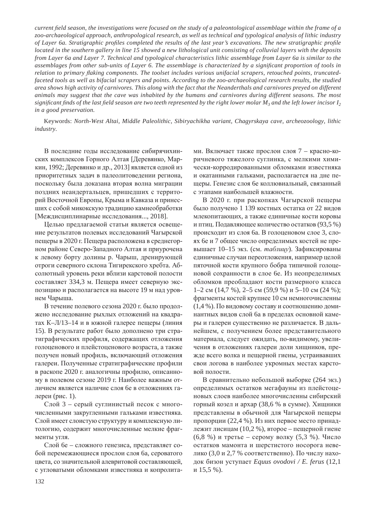*current field season, the investigations were focused on the study of a paleontological assemblage within the frame of a zoo-archaeological approach, anthropological research, as well as technical and typological analysis of lithic industry of Layer 6a. Stratigraphic profiles completed the results of the last year's excavations. The new stratigraphic profile located in the southern gallery in line 15 showed a new lithological unit consisting of colluvial layers with the deposits from Layer 6a and Layer 7. Technical and typological characteristics lithic assemblage from Layer 6a is similar to the assemblages from other sub-units of Layer 6. The assemblage is characterized by a signi¿ cant proportion of tools in relation to primary À aking components. The toolset includes various unifacial scrapers, retouched points, truncatedfaceted tools as well as bifacial scrapers and points. According to the zoo-archaeological research results, the studied area shows high activity of carnivores. This along with the fact that the Neanderthals and carnivores preyed on different animals may suggest that the cave was inhabited by the humans and carnivores during different seasons. The most significant finds of the last field season are two teeth represented by the right lower molar*  $M_3$  *and the left lower incisor*  $I_2$ *in a good preservation.*

Keywords: *North-West Altai, Middle Paleolithic, Sibiryachikha variant, Chagyrskaya cave, archeozoology, lithic industry.*

В последние годы исследование сибирячихинских комплексов Горного Алтая [Деревянко, Маркин, 1992; Деревянко и др., 2013] является одной из приоритетных задач в палеолитоведении региона, поскольку была доказана вторая волна миграции поздних неандертальцев, пришедших с территорий Восточной Европы, Крыма и Кавказа и принесших с собой микокскую традицию камнеобработки [Междисциплинарные исследования..., 2018].

Целью предлагаемой статьи является освещение результатов полевых исследований Чагырской пещеры в 2020 г. Пещера расположена в среднегорном районе Северо-Западного Алтая и приурочена к левому борту долины р. Чарыш, дренирующей отроги северного склона Тигирекского хребта. Абсолютный уровень реки вблизи карстовой полости составляет 334,3 м. Пещера имеет северную экспозицию и располагается на высоте 19 м над уровнем Чарыша.

В течение полевого сезона 2020 г. было продолжено исследование рыхлых отложений на квадратах К-Л/13-14 и в южной галерее пещеры (линия 15). В результате работ было дополнено три стратиграфических профиля, содержащих отложения голоценового и плейстоценового возраста, а также получен новый профиль, включающий отложения галереи. Полученные стратиграфические профили в раскопе 2020 г. аналогичны профилю, описанному в полевом сезоне 2019 г. Наиболее важным отличием является наличие слоя бе в отложениях галереи (рис. 1).

Слой 3 – серый суглинистый песок с многочисленными закругленными гальками известняка. Слой имеет слоистую структуру и комплексную литологию, содержит многочисленные мелкие фрагменты угля.

Слой 6е – сложного генезиса, представляет собой перемежающиеся прослои слоя ба, сероватого цвета, со значительной алевритовой составляющей, с угловатыми обломками известняка и копролитами. Включает также прослои слоя 7 – красно-коричневого тяжелого суглинка, с мелкими химически-корродированными обломками известняка и окатанными гальками, располагается на дне пещеры. Генезис слоя бе коллювиальный, связанный с этапами наибольшей влажности.

В 2020 г. при раскопках Чагырской пещеры было получено 1 139 костных остатка от 22 видов млекопитающих, а также единичные кости коровы и птиц. Подавляющее количество остатков (93,5 %) происходит из слоя ба. В голоценовом слое 3, слоях бе и 7 общее число определимых костей не превышает 10–15 экз. (см. *таблицу*). Зафиксированы единичные случаи переотложения, например целой пяточной кости крупного бобра типичной голоценовой сохранности в слое бе. Из неопределимых обломков преобладают кости размерного класса 1–2 см (14,7 %), 2–5 см (59,9 %) и 5–10 см (24 %); фрагменты костей крупнее 10 см немногочисленны (1,4 %). По видовому составу и соотношению доминантных видов слой ба в пределах основной камеры и галереи существенно не различается. В дальнейшем, с получением более представительного материала, следует ожидать, по-видимому, увеличения в отложениях галереи доли хищников, прежде всего волка и пещерной гиены, устраивавших свои логова в наиболее укромных местах карстовой полости.

В сравнительно небольшой выборке (264 экз.) определимых остатков мегафауны из плейстоценовых слоев наиболее многочисленны сибирский горный козел и архар (38,6 % в сумме). Хищники представлены в обычной для Чагырской пещеры пропорции (22,4 %). Из них первое место принадлежит лисицам (10,2 %), второе – пещерной гиене  $(6,8, % )$  и третье – серому волку  $(5,3, % )$ . Число остатков мамонта и шерстистого носорога невелико (3,0 и 2,7 % соответственно). По числу находок бизон уступает Equus ovodovi / E. ferus (12,1 и 15,5 %).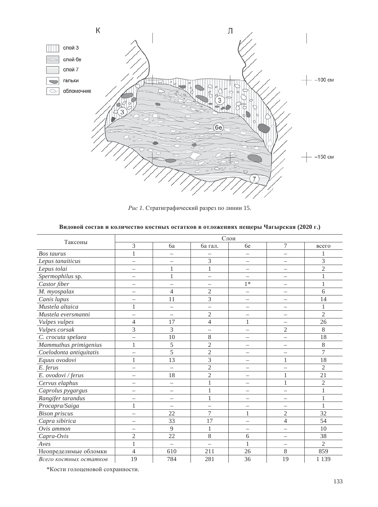

Рис 1. Стратиграфический разрез по линии 15.

|  |  |  |  |  | Видовой состав и количество костных остатков в отложениях пещеры Чагырская (2020 г.) |  |  |  |  |
|--|--|--|--|--|--------------------------------------------------------------------------------------|--|--|--|--|
|--|--|--|--|--|--------------------------------------------------------------------------------------|--|--|--|--|

| Таксоны                 | Слои                     |                          |                          |                          |                          |                |  |  |  |
|-------------------------|--------------------------|--------------------------|--------------------------|--------------------------|--------------------------|----------------|--|--|--|
|                         | 3                        | 6a                       | ба гал.                  | бe                       | 7                        | всего          |  |  |  |
| Bos taurus              | $\mathbf{1}$             | $\overline{\phantom{0}}$ |                          | $\overline{\phantom{0}}$ | $\overline{\phantom{0}}$ |                |  |  |  |
| Lepus tanaiticus        |                          | $\overline{\phantom{0}}$ | 3                        | $\overline{\phantom{0}}$ | $\overline{\phantom{0}}$ | 3              |  |  |  |
| Lepus tolai             |                          | 1                        | $\mathbf{1}$             | $\overline{\phantom{0}}$ | $\overline{\phantom{0}}$ | $\overline{c}$ |  |  |  |
| Spermophilus sp.        |                          | 1                        | $\overline{\phantom{0}}$ | $\overline{\phantom{0}}$ |                          | $\mathbf{1}$   |  |  |  |
| Castor fiber            |                          | $\overline{\phantom{0}}$ | $\overline{\phantom{m}}$ | $1*$                     | $\qquad \qquad -$        | $\mathbf{1}$   |  |  |  |
| M. myospalax            |                          | $\overline{4}$           | $\overline{2}$           | $\overline{\phantom{0}}$ | $\overline{\phantom{0}}$ | 6              |  |  |  |
| Canis lupus             | $\overline{\phantom{0}}$ | 11                       | 3                        | $\qquad \qquad -$        | $\overline{\phantom{m}}$ | 14             |  |  |  |
| Mustela altaica         | 1                        | $\overline{\phantom{0}}$ |                          | $\overline{\phantom{0}}$ |                          | 1              |  |  |  |
| Mustela eversmanni      | $\overline{\phantom{0}}$ | $\overline{\phantom{0}}$ | $\mathfrak{2}$           | $\overline{\phantom{0}}$ | $\qquad \qquad -$        | $\overline{2}$ |  |  |  |
| Vulpes vulpes           | $\overline{4}$           | 17                       | $\overline{\mathcal{L}}$ | 1                        |                          | 26             |  |  |  |
| Vulpes corsak           | 3                        | 3                        | $\qquad \qquad -$        | $\qquad \qquad -$        | $\mathfrak{2}$           | 8              |  |  |  |
| C. crocuta spelaea      |                          | 10                       | 8                        |                          | $\overline{\phantom{0}}$ | 18             |  |  |  |
| Mammuthus primigenius   | 1                        | 5                        | $\sqrt{2}$               | $\qquad \qquad -$        | $\qquad \qquad -$        | $8\,$          |  |  |  |
| Coelodonta antiquitatis |                          | $\overline{5}$           | $\overline{2}$           | $\overline{\phantom{0}}$ |                          | $\overline{7}$ |  |  |  |
| Equus ovodovi           | 1                        | 13                       | 3                        | $\qquad \qquad -$        | $\mathbf{1}$             | 18             |  |  |  |
| E. ferus                |                          |                          | $\overline{2}$           |                          |                          | $\mathfrak{2}$ |  |  |  |
| E. ovodovi / ferus      | $\overline{\phantom{0}}$ | 18                       | $\mathfrak{2}$           | $\qquad \qquad -$        | $\mathbf{1}$             | 21             |  |  |  |
| Cervus elaphus          |                          | $\overline{\phantom{0}}$ | $\mathbf{1}$             | $\overline{\phantom{0}}$ | 1                        | $\overline{2}$ |  |  |  |
| Caprolus pygargus       | $\overline{\phantom{0}}$ | $\equiv$                 | $\mathbf{1}$             | $\qquad \qquad -$        | $\overline{\phantom{0}}$ | $\mathbf{1}$   |  |  |  |
| Rangifer tarandus       |                          | $\overline{\phantom{0}}$ | $\mathbf{1}$             |                          |                          | $\,1$          |  |  |  |
| Procapra/Saiga          | $\mathbf{1}$             | $\overline{\phantom{0}}$ | $\qquad \qquad -$        | $\qquad \qquad -$        |                          | $\mathbf{1}$   |  |  |  |
| <b>Bison priscus</b>    |                          | 22                       | $\overline{7}$           | 1                        | $\overline{2}$           | 32             |  |  |  |
| Capra sibirica          |                          | 33                       | 17                       | $\qquad \qquad -$        | $\overline{4}$           | 54             |  |  |  |
| Ovis ammon              |                          | 9                        | $\mathbf{1}$             | $\overline{\phantom{0}}$ | $\overline{\phantom{0}}$ | 10             |  |  |  |
| Capra-Ovis              | $\mathfrak{2}$           | 22                       | $8\,$                    | 6                        | $\overline{\phantom{0}}$ | 38             |  |  |  |
| Aves                    | 1                        | $\equiv$                 | $\overline{\phantom{0}}$ | 1                        | $\overline{\phantom{0}}$ | $\overline{2}$ |  |  |  |
| Неопределимые обломки   | $\overline{4}$           | 610                      | 211                      | 26                       | 8                        | 859            |  |  |  |
| Всего костных остатков  | 19                       | 784                      | 281                      | 36                       | 19                       | 1 1 3 9        |  |  |  |

\*Кости голоценовой сохранности.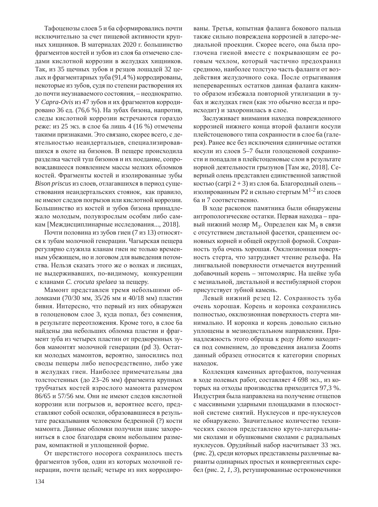Тафоценозы слоев 5 и ба сформировались почти исключительно за счет пищевой активности крупных хищников. В материалах 2020 г. большинство фрагментов костей и зубов из слоя ба отмечено следами кислотной коррозии в желудках хищников. Так, из 35 щечных зубов и резцов лошадей 32 целых и фрагментарных зуба (91,4 %) корродированы, некоторые из зубов, судя по степени растворения их до почти неузнаваемого состояния, – неоднократно. У *Capra-Ovis* из 47 зубов и их фрагментов корродировано 36 ед. (76,6 %). На зубах бизона, напротив, следы кислотной коррозии встречаются гораздо реже: из 25 экз. в слое ба лишь 4 (16 %) отмечены такими признаками. Это связано, скорее всего, с деятельностью неандертальцев, специализировавшихся в охоте на бизонов. В пещере происходила разделка частей туш бизонов и их поедание, сопровождавшееся появлением массы мелких обломков костей. Фрагменты костей и изолированные зубы *Bison priscus* из слоев, отлагавшихся в период существования неандертальских стоянок, как правило, не имеют следов погрызов или кислотной коррозии. Большинство из костей и зубов бизона принадлежало молодым, полувзрослым особям либо самкам [Междисциплинарные исследования..., 2018].

Почти половина из зубов гиен (7 из 13) относятся к зубам молочной генерации. Чагырская пещера регулярно служила кланам гиен не только временным убежищем, но и логовом для выведения потомства. Нельзя сказать этого же о волках и лисицах, не выдерживавших, по-видимому, конкуренции с кланами *C. crocuta spelaea* за пещеру.

Мамонт представлен тремя небольшими обломками (70/30 мм, 35/26 мм и 40/18 мм) пластин бивня. Интересно, что первый из них обнаружен в голоценовом слое 3, куда попал, без сомнения, в результате переотложения. Кроме того, в слое ба найдены два небольших обломка пластин и фрагмент зуба из четырех пластин от предкоренных зубов мамонтят молочной генерации (pd 3). Остатки молодых мамонтов, вероятно, заносились под своды пещеры либо непосредственно, либо уже в желудках гиен. Наиболее примечательны два толстостенных (до 23–26 мм) фрагмента крупных трубчатых костей взрослого мамонта размером 86/65 и 57/56 мм. Они не имеют следов кислотной коррозии или погрызов и, вероятнее всего, представляют собой осколки, образовавшиеся в результате раскалывания человеком бедренной (?) кости мамонта. Данные обломки получили шанс захорониться в слое благодаря своим небольшим размерам, компактной и уплощенной форме.

От шерстистого носорога сохранилось шесть фрагментов зубов, один из которых молочной генерации, почти целый; четыре из них корродированы. Третья, копытная фаланга бокового пальца также сильно повреждена коррозией в латеро-медиальной проекции. Скорее всего, она была проглочена гиеной вместе с покрывающим ее роговым чехлом, который частично предохранил среднюю, наиболее толстую часть фаланги от воздействия желудочного сока. После отрыгивания непереваренных остатков данная фаланга какимто образом избежала повторной утилизации в зубах и желудках гиен (как это обычно всегда и происходит) и захоронилась в слое.

Заслуживает внимания находка поврежденного коррозией нижнего конца второй фаланги косули плейстоценового типа сохранности в слое ба (галерея). Ранее все без исключения единичные остатки косули из слоев 5–7 были голоценовой сохранности и попадали в плейстоценовые слои в результате норной деятельности грызунов [Там же, 2018]. Северный олень представлен единственной запястной костью (carpi 2 + 3) из слоя ба. Благородный олень – изолированным Р2 и сильно стертым  $M^{1-2}$  из слоев ба и 7 соответственно.

В ходе раскопок памятника были обнаружены антропологические остатки. Первая находка - правый нижний моляр  $M_3$ . Определен как  $M_3$  в связи с отсутствием дистальной фасетки, сращением основных корней и общей округлой формой. Сохранность зуба очень хорошая. Окклюзионная поверхность стерта, что затрудняет чтение рельефа. На лингвальной поверхности отмечается внутренний добавочный корень – энтомолярис. На шейке зуба с мезиальной, дистальной и вестибулярной сторон присутствует зубной камень.

Левый нижний резец I2. Сохранность зуба очень хорошая. Корень и коронка сохранились полностью, окклюзионная поверхность стерта минимально. И коронка и корень довольно сильно уплощены в мезиодистальном направлении. Принадлежность этого образца к роду *Ното* находится под сомнением, до проведения анализа Zooms данный образец относится к категории спорных находок.

Коллекция каменных артефактов, полученная в ходе полевых работ, составляет 4 698 экз., из которых на отходы производства приходится 97,3 %. Индустрия была направлена на получение отщепов с массивными ударными площадками в плоскостной системе снятий. Нуклеусов и пре-нуклеусов не обнаружено. Значительное количество технических сколов представлено круто-латеральными сколами и обушковыми сколами с радиальных нуклеусов. Орудийный набор насчитывает 33 экз. (рис. 2), среди которых представлены различные варианты одинарных простых и конвергентных скребел (рис. 2, *1, 3*), ретушированные остроконечники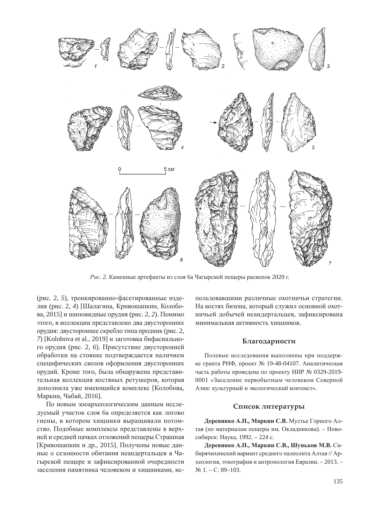

*Рис.* 2. Каменные артефакты из слоя ба Чагырской пещеры раскопок 2020 г.

(рис. 2, 5), тронкированно-фасетированные изделия (рис. 2, 4) [Шалагина, Кривошапкин, Колобова, 2015] и шиповидные орудия (рис. 2, 2). Помимо этого, в коллекции представлено два двусторонних орудия: двустороннее скребло типа продник (рис. 2, 7) [Kolobova et al., 2019] и заготовка бифасиального орудия (рис. 2, 6). Присутствие двусторонней обработки на стоянке подтверждается наличием специфических сколов оформления двусторонних орудий. Кроме того, была обнаружена представительная коллекция костяных ретушеров, которая дополнила уже имеющийся комплекс [Колобова, Маркин, Чабай, 2016].

По новым зооархеологическим данным исследуемый участок слоя ба определяется как логово гиены, в котором хищники выращивали потомство. Подобные комплексы представлены в верхней и средней пачках отложений пещеры Страшная [Кривошапкин и др., 2015]. Получены новые данные о сезонности обитания неандертальцев в Чагырской пещере и зафиксированной очередности заселения памятника человеком и хишниками, использовавшими различные охотничьи стратегии. На костях бизона, который служил основной охотничьей добычей неандертальцев, зафиксирована минимальная активность хишников.

#### Благодарности

Полевые исследования выполнены при поддержке гранта РНФ, проект № 19-48-04107. Аналитическая часть работы проведена по проекту НИР № 0329-2019-0001 «Заселение первобытным человеком Северной Азии: культурный и экологический контекст».

#### Список литературы

**Деревянко А.П., Маркин С.В.** Мустье Горного Алтая (по материалам пещеры им. Окладникова). – Новосибирск: Наука, 1992. – 224 с.

 $\Lambda$  Деревянко А.П., Маркин С.В., Шуньков М.В. Сибирячихинский вариант среднего палеолита Алтая // Археология, этнография и антропология Евразии. – 2013. –  $N_2$  1. – C. 89–103.